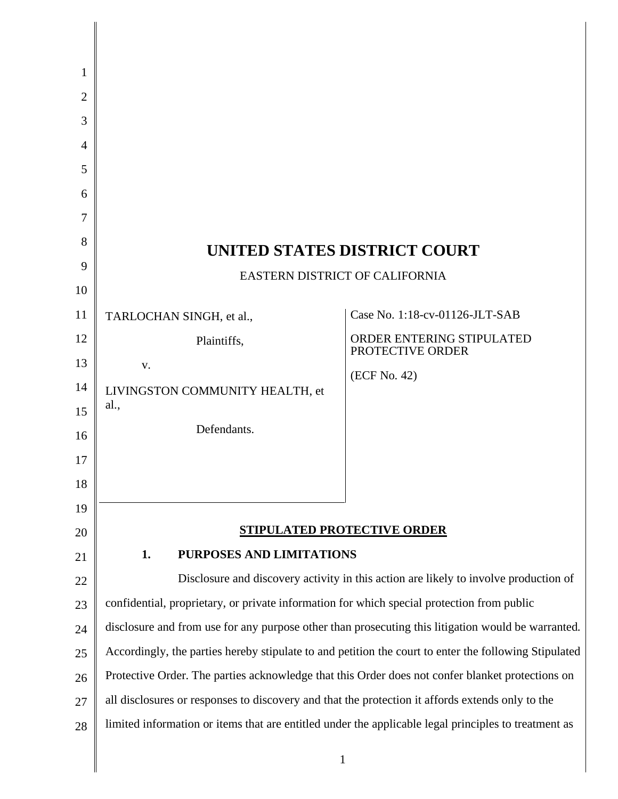| 1        |                                                                                                       |                                               |
|----------|-------------------------------------------------------------------------------------------------------|-----------------------------------------------|
| 2        |                                                                                                       |                                               |
| 3        |                                                                                                       |                                               |
| 4        |                                                                                                       |                                               |
| 5        |                                                                                                       |                                               |
| 6        |                                                                                                       |                                               |
| 7        |                                                                                                       |                                               |
| 8        | UNITED STATES DISTRICT COURT                                                                          |                                               |
| 9        | EASTERN DISTRICT OF CALIFORNIA                                                                        |                                               |
| 10       |                                                                                                       |                                               |
| 11       | TARLOCHAN SINGH, et al.,                                                                              | Case No. 1:18-cv-01126-JLT-SAB                |
| 12       | Plaintiffs,                                                                                           | ORDER ENTERING STIPULATED<br>PROTECTIVE ORDER |
| 13       | V.                                                                                                    | (ECF No. 42)                                  |
| 14       | LIVINGSTON COMMUNITY HEALTH, et<br>al.,                                                               |                                               |
| 15       | Defendants.                                                                                           |                                               |
| 16       |                                                                                                       |                                               |
| 17       |                                                                                                       |                                               |
| 18<br>19 |                                                                                                       |                                               |
| 20       | <b>STIPULATED PROTECTIVE ORDER</b>                                                                    |                                               |
| 21       | 1.<br>PURPOSES AND LIMITATIONS                                                                        |                                               |
| 22       | Disclosure and discovery activity in this action are likely to involve production of                  |                                               |
| 23       | confidential, proprietary, or private information for which special protection from public            |                                               |
| 24       | disclosure and from use for any purpose other than prosecuting this litigation would be warranted.    |                                               |
| 25       | Accordingly, the parties hereby stipulate to and petition the court to enter the following Stipulated |                                               |
| 26       | Protective Order. The parties acknowledge that this Order does not confer blanket protections on      |                                               |
| 27       | all disclosures or responses to discovery and that the protection it affords extends only to the      |                                               |
| 28       | limited information or items that are entitled under the applicable legal principles to treatment as  |                                               |
|          | $\mathbf{1}$                                                                                          |                                               |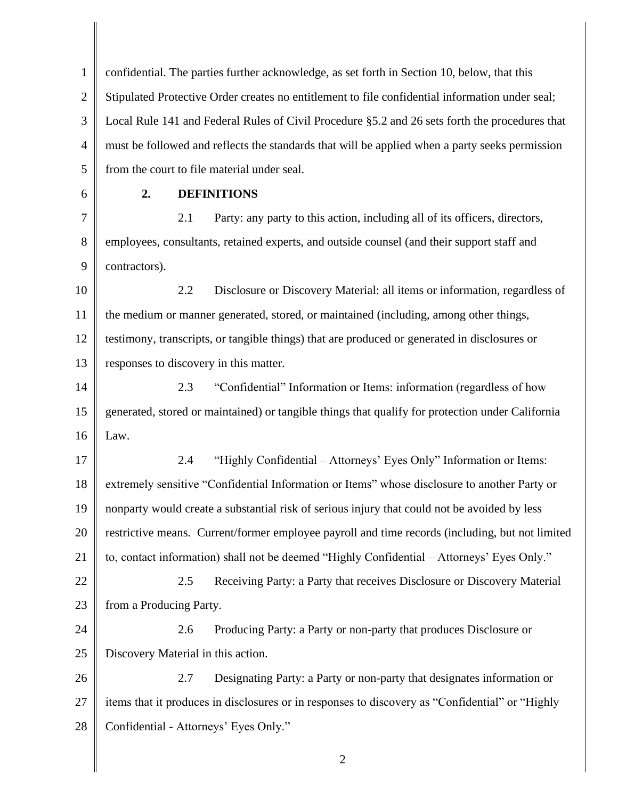1 2 3 4 5 confidential. The parties further acknowledge, as set forth in Section 10, below, that this Stipulated Protective Order creates no entitlement to file confidential information under seal; Local Rule 141 and Federal Rules of Civil Procedure §5.2 and 26 sets forth the procedures that must be followed and reflects the standards that will be applied when a party seeks permission from the court to file material under seal.

6

### **2. DEFINITIONS**

7 8 9 2.1 Party: any party to this action, including all of its officers, directors, employees, consultants, retained experts, and outside counsel (and their support staff and contractors).

10 11 12 13 2.2 Disclosure or Discovery Material: all items or information, regardless of the medium or manner generated, stored, or maintained (including, among other things, testimony, transcripts, or tangible things) that are produced or generated in disclosures or responses to discovery in this matter.

14 15 16 2.3 "Confidential" Information or Items: information (regardless of how generated, stored or maintained) or tangible things that qualify for protection under California Law.

17 18 19 20 21 2.4 "Highly Confidential – Attorneys' Eyes Only" Information or Items: extremely sensitive "Confidential Information or Items" whose disclosure to another Party or nonparty would create a substantial risk of serious injury that could not be avoided by less restrictive means. Current/former employee payroll and time records (including, but not limited to, contact information) shall not be deemed "Highly Confidential – Attorneys' Eyes Only."

22 23 2.5 Receiving Party: a Party that receives Disclosure or Discovery Material from a Producing Party.

24 25 2.6 Producing Party: a Party or non-party that produces Disclosure or Discovery Material in this action.

26 27 28 2.7 Designating Party: a Party or non-party that designates information or items that it produces in disclosures or in responses to discovery as "Confidential" or "Highly Confidential - Attorneys' Eyes Only."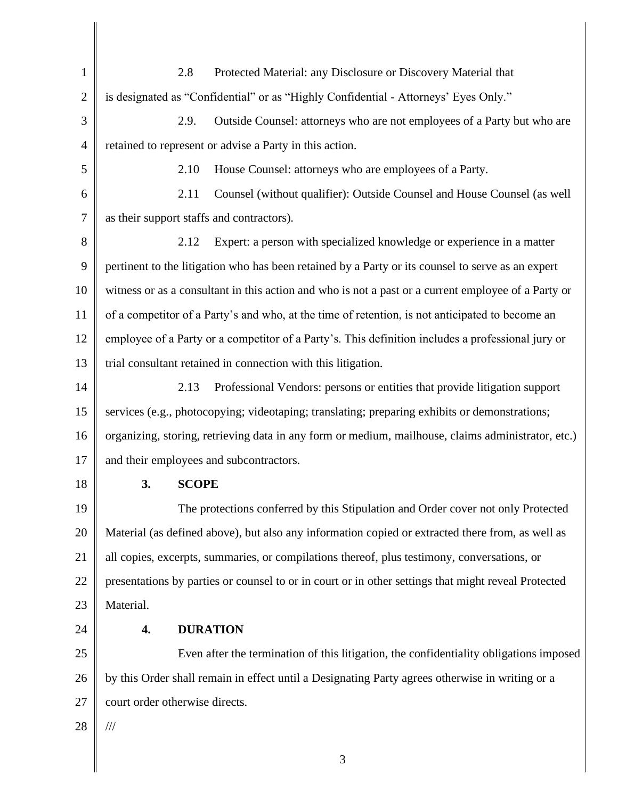| $\mathbf{1}$   | 2.8<br>Protected Material: any Disclosure or Discovery Material that                                |                                                                                        |
|----------------|-----------------------------------------------------------------------------------------------------|----------------------------------------------------------------------------------------|
| $\overline{2}$ | is designated as "Confidential" or as "Highly Confidential - Attorneys' Eyes Only."                 |                                                                                        |
| 3              | 2.9.                                                                                                | Outside Counsel: attorneys who are not employees of a Party but who are                |
| $\overline{4}$ | retained to represent or advise a Party in this action.                                             |                                                                                        |
| 5              | 2.10                                                                                                | House Counsel: attorneys who are employees of a Party.                                 |
| 6              | 2.11                                                                                                | Counsel (without qualifier): Outside Counsel and House Counsel (as well                |
| 7              | as their support staffs and contractors).                                                           |                                                                                        |
| 8              | 2.12                                                                                                | Expert: a person with specialized knowledge or experience in a matter                  |
| 9              | pertinent to the litigation who has been retained by a Party or its counsel to serve as an expert   |                                                                                        |
| 10             | witness or as a consultant in this action and who is not a past or a current employee of a Party or |                                                                                        |
| 11             | of a competitor of a Party's and who, at the time of retention, is not anticipated to become an     |                                                                                        |
| 12             | employee of a Party or a competitor of a Party's. This definition includes a professional jury or   |                                                                                        |
| 13             | trial consultant retained in connection with this litigation.                                       |                                                                                        |
| 14             | 2.13                                                                                                | Professional Vendors: persons or entities that provide litigation support              |
| 15             | services (e.g., photocopying; videotaping; translating; preparing exhibits or demonstrations;       |                                                                                        |
| 16             | organizing, storing, retrieving data in any form or medium, mailhouse, claims administrator, etc.)  |                                                                                        |
| 17             | and their employees and subcontractors.                                                             |                                                                                        |
| 18             | 3.<br><b>SCOPE</b>                                                                                  |                                                                                        |
| 19             |                                                                                                     | The protections conferred by this Stipulation and Order cover not only Protected       |
| 20             | Material (as defined above), but also any information copied or extracted there from, as well as    |                                                                                        |
| 21             | all copies, excerpts, summaries, or compilations thereof, plus testimony, conversations, or         |                                                                                        |
| 22             | presentations by parties or counsel to or in court or in other settings that might reveal Protected |                                                                                        |
| 23             | Material.                                                                                           |                                                                                        |
| 24             | 4.                                                                                                  | <b>DURATION</b>                                                                        |
| 25             |                                                                                                     | Even after the termination of this litigation, the confidentiality obligations imposed |
| 26             | by this Order shall remain in effect until a Designating Party agrees otherwise in writing or a     |                                                                                        |
| 27             | court order otherwise directs.                                                                      |                                                                                        |
| 28             | $/ \! / \! /$                                                                                       |                                                                                        |
|                |                                                                                                     | 3                                                                                      |
|                |                                                                                                     |                                                                                        |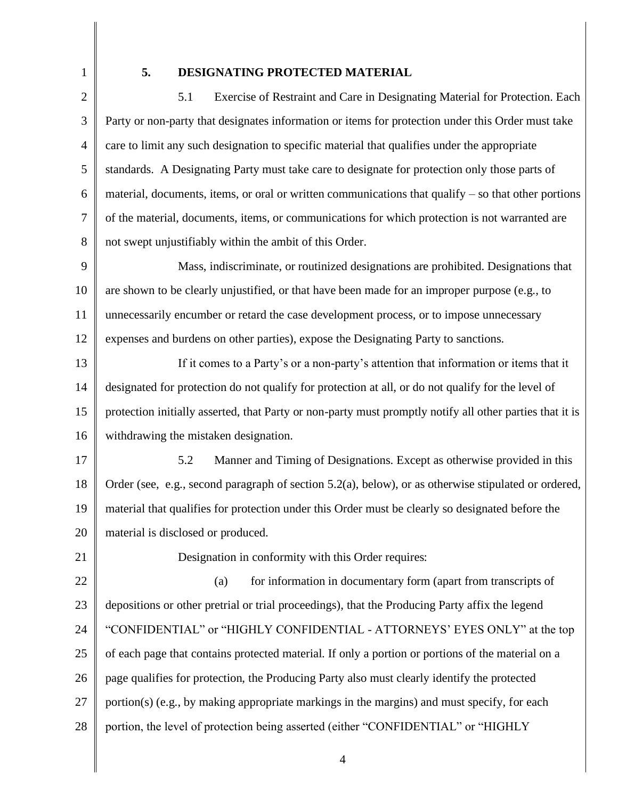21

### **5. DESIGNATING PROTECTED MATERIAL**

2 3 4 5 6 7 8 5.1 Exercise of Restraint and Care in Designating Material for Protection. Each Party or non-party that designates information or items for protection under this Order must take care to limit any such designation to specific material that qualifies under the appropriate standards. A Designating Party must take care to designate for protection only those parts of material, documents, items, or oral or written communications that qualify – so that other portions of the material, documents, items, or communications for which protection is not warranted are not swept unjustifiably within the ambit of this Order.

9 10 11 12 Mass, indiscriminate, or routinized designations are prohibited. Designations that are shown to be clearly unjustified, or that have been made for an improper purpose (e.g., to unnecessarily encumber or retard the case development process, or to impose unnecessary expenses and burdens on other parties), expose the Designating Party to sanctions.

13 14 15 16 If it comes to a Party's or a non-party's attention that information or items that it designated for protection do not qualify for protection at all, or do not qualify for the level of protection initially asserted, that Party or non-party must promptly notify all other parties that it is withdrawing the mistaken designation.

17 18 19 20 5.2 Manner and Timing of Designations. Except as otherwise provided in this Order (see, e.g., second paragraph of section 5.2(a), below), or as otherwise stipulated or ordered, material that qualifies for protection under this Order must be clearly so designated before the material is disclosed or produced.

Designation in conformity with this Order requires:

22 23 24 25 26 27 28 (a) for information in documentary form (apart from transcripts of depositions or other pretrial or trial proceedings), that the Producing Party affix the legend "CONFIDENTIAL" or "HIGHLY CONFIDENTIAL - ATTORNEYS' EYES ONLY" at the top of each page that contains protected material. If only a portion or portions of the material on a page qualifies for protection, the Producing Party also must clearly identify the protected portion(s) (e.g., by making appropriate markings in the margins) and must specify, for each portion, the level of protection being asserted (either "CONFIDENTIAL" or "HIGHLY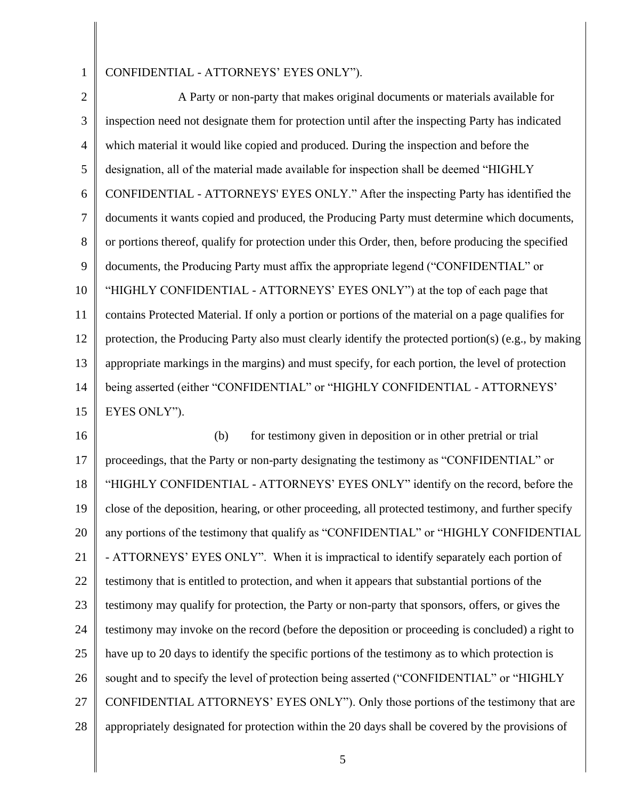### CONFIDENTIAL - ATTORNEYS' EYES ONLY").

2 3 4 5 6 7 8 9 10 11 12 13 14 15 A Party or non-party that makes original documents or materials available for inspection need not designate them for protection until after the inspecting Party has indicated which material it would like copied and produced. During the inspection and before the designation, all of the material made available for inspection shall be deemed "HIGHLY CONFIDENTIAL - ATTORNEYS' EYES ONLY." After the inspecting Party has identified the documents it wants copied and produced, the Producing Party must determine which documents, or portions thereof, qualify for protection under this Order, then, before producing the specified documents, the Producing Party must affix the appropriate legend ("CONFIDENTIAL" or "HIGHLY CONFIDENTIAL - ATTORNEYS' EYES ONLY") at the top of each page that contains Protected Material. If only a portion or portions of the material on a page qualifies for protection, the Producing Party also must clearly identify the protected portion(s) (e.g., by making appropriate markings in the margins) and must specify, for each portion, the level of protection being asserted (either "CONFIDENTIAL" or "HIGHLY CONFIDENTIAL - ATTORNEYS' EYES ONLY").

16 17 18 19 20 21 22 23 24 25 26 27 28 (b) for testimony given in deposition or in other pretrial or trial proceedings, that the Party or non-party designating the testimony as "CONFIDENTIAL" or "HIGHLY CONFIDENTIAL - ATTORNEYS' EYES ONLY" identify on the record, before the close of the deposition, hearing, or other proceeding, all protected testimony, and further specify any portions of the testimony that qualify as "CONFIDENTIAL" or "HIGHLY CONFIDENTIAL - ATTORNEYS' EYES ONLY". When it is impractical to identify separately each portion of testimony that is entitled to protection, and when it appears that substantial portions of the testimony may qualify for protection, the Party or non-party that sponsors, offers, or gives the testimony may invoke on the record (before the deposition or proceeding is concluded) a right to have up to 20 days to identify the specific portions of the testimony as to which protection is sought and to specify the level of protection being asserted ("CONFIDENTIAL" or "HIGHLY CONFIDENTIAL ATTORNEYS' EYES ONLY"). Only those portions of the testimony that are appropriately designated for protection within the 20 days shall be covered by the provisions of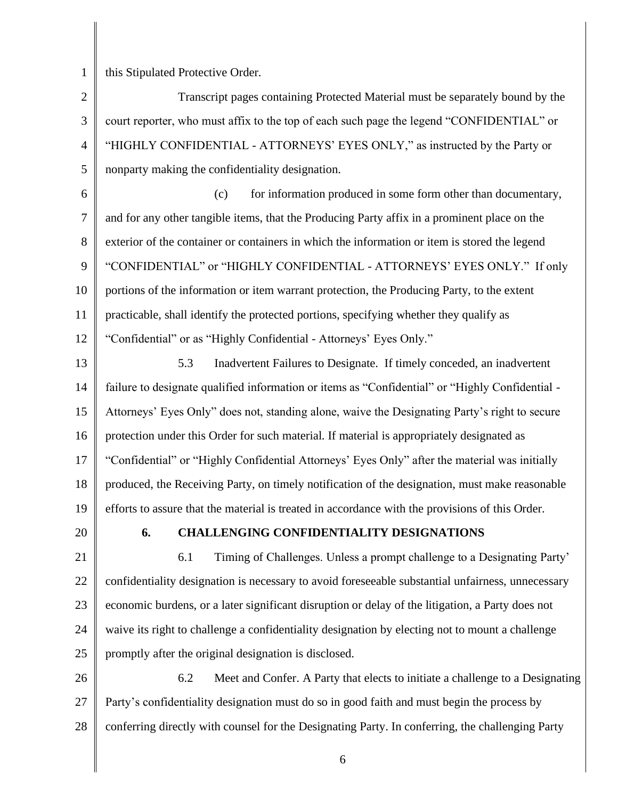1 this Stipulated Protective Order.

2 3 4 5 Transcript pages containing Protected Material must be separately bound by the court reporter, who must affix to the top of each such page the legend "CONFIDENTIAL" or "HIGHLY CONFIDENTIAL - ATTORNEYS' EYES ONLY," as instructed by the Party or nonparty making the confidentiality designation.

6 7 8 9 10 11 12 (c) for information produced in some form other than documentary, and for any other tangible items, that the Producing Party affix in a prominent place on the exterior of the container or containers in which the information or item is stored the legend "CONFIDENTIAL" or "HIGHLY CONFIDENTIAL - ATTORNEYS' EYES ONLY." If only portions of the information or item warrant protection, the Producing Party, to the extent practicable, shall identify the protected portions, specifying whether they qualify as "Confidential" or as "Highly Confidential - Attorneys' Eyes Only."

13 14 15 16 17 18 19 5.3 Inadvertent Failures to Designate. If timely conceded, an inadvertent failure to designate qualified information or items as "Confidential" or "Highly Confidential - Attorneys' Eyes Only" does not, standing alone, waive the Designating Party's right to secure protection under this Order for such material. If material is appropriately designated as "Confidential" or "Highly Confidential Attorneys' Eyes Only" after the material was initially produced, the Receiving Party, on timely notification of the designation, must make reasonable efforts to assure that the material is treated in accordance with the provisions of this Order.

20

### **6. CHALLENGING CONFIDENTIALITY DESIGNATIONS**

21 22 23 24 25 6.1 Timing of Challenges. Unless a prompt challenge to a Designating Party' confidentiality designation is necessary to avoid foreseeable substantial unfairness, unnecessary economic burdens, or a later significant disruption or delay of the litigation, a Party does not waive its right to challenge a confidentiality designation by electing not to mount a challenge promptly after the original designation is disclosed.

26 27 28 6.2 Meet and Confer. A Party that elects to initiate a challenge to a Designating Party's confidentiality designation must do so in good faith and must begin the process by conferring directly with counsel for the Designating Party. In conferring, the challenging Party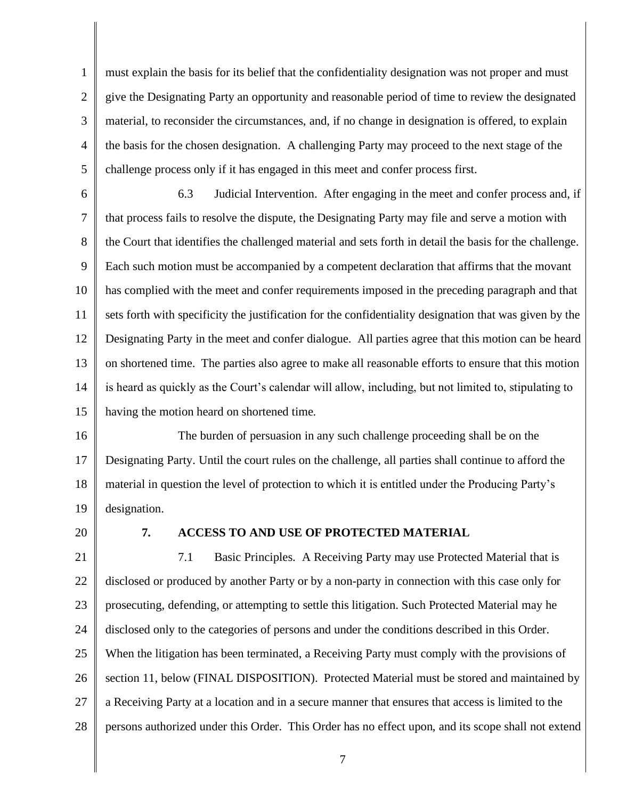1 2 3 4 5 must explain the basis for its belief that the confidentiality designation was not proper and must give the Designating Party an opportunity and reasonable period of time to review the designated material, to reconsider the circumstances, and, if no change in designation is offered, to explain the basis for the chosen designation. A challenging Party may proceed to the next stage of the challenge process only if it has engaged in this meet and confer process first.

6 7 8 9 10 11 12 13 14 15 6.3 Judicial Intervention. After engaging in the meet and confer process and, if that process fails to resolve the dispute, the Designating Party may file and serve a motion with the Court that identifies the challenged material and sets forth in detail the basis for the challenge. Each such motion must be accompanied by a competent declaration that affirms that the movant has complied with the meet and confer requirements imposed in the preceding paragraph and that sets forth with specificity the justification for the confidentiality designation that was given by the Designating Party in the meet and confer dialogue. All parties agree that this motion can be heard on shortened time. The parties also agree to make all reasonable efforts to ensure that this motion is heard as quickly as the Court's calendar will allow, including, but not limited to, stipulating to having the motion heard on shortened time.

16 17 18 19 The burden of persuasion in any such challenge proceeding shall be on the Designating Party. Until the court rules on the challenge, all parties shall continue to afford the material in question the level of protection to which it is entitled under the Producing Party's designation.

20

## **7. ACCESS TO AND USE OF PROTECTED MATERIAL**

21 22 23 24 25 26 27 28 7.1 Basic Principles. A Receiving Party may use Protected Material that is disclosed or produced by another Party or by a non-party in connection with this case only for prosecuting, defending, or attempting to settle this litigation. Such Protected Material may he disclosed only to the categories of persons and under the conditions described in this Order. When the litigation has been terminated, a Receiving Party must comply with the provisions of section 11, below (FINAL DISPOSITION). Protected Material must be stored and maintained by a Receiving Party at a location and in a secure manner that ensures that access is limited to the persons authorized under this Order. This Order has no effect upon, and its scope shall not extend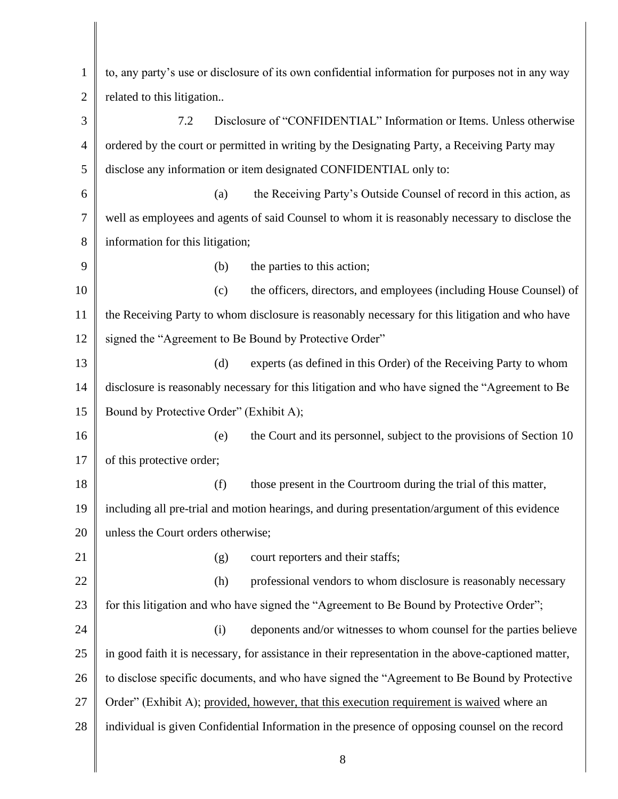1 2 3 4 5 6 7 8 9 10 11 12 13 14 15 16 17 18 19 20 21 22 23 24 25 26 27 28 to, any party's use or disclosure of its own confidential information for purposes not in any way related to this litigation.. 7.2 Disclosure of "CONFIDENTIAL" Information or Items. Unless otherwise ordered by the court or permitted in writing by the Designating Party, a Receiving Party may disclose any information or item designated CONFIDENTIAL only to: (a) the Receiving Party's Outside Counsel of record in this action, as well as employees and agents of said Counsel to whom it is reasonably necessary to disclose the information for this litigation; (b) the parties to this action; (c) the officers, directors, and employees (including House Counsel) of the Receiving Party to whom disclosure is reasonably necessary for this litigation and who have signed the "Agreement to Be Bound by Protective Order" (d) experts (as defined in this Order) of the Receiving Party to whom disclosure is reasonably necessary for this litigation and who have signed the "Agreement to Be Bound by Protective Order" (Exhibit A); (e) the Court and its personnel, subject to the provisions of Section 10 of this protective order; (f) those present in the Courtroom during the trial of this matter, including all pre-trial and motion hearings, and during presentation/argument of this evidence unless the Court orders otherwise; (g) court reporters and their staffs; (h) professional vendors to whom disclosure is reasonably necessary for this litigation and who have signed the "Agreement to Be Bound by Protective Order"; (i) deponents and/or witnesses to whom counsel for the parties believe in good faith it is necessary, for assistance in their representation in the above-captioned matter, to disclose specific documents, and who have signed the "Agreement to Be Bound by Protective Order" (Exhibit A); provided, however, that this execution requirement is waived where an individual is given Confidential Information in the presence of opposing counsel on the record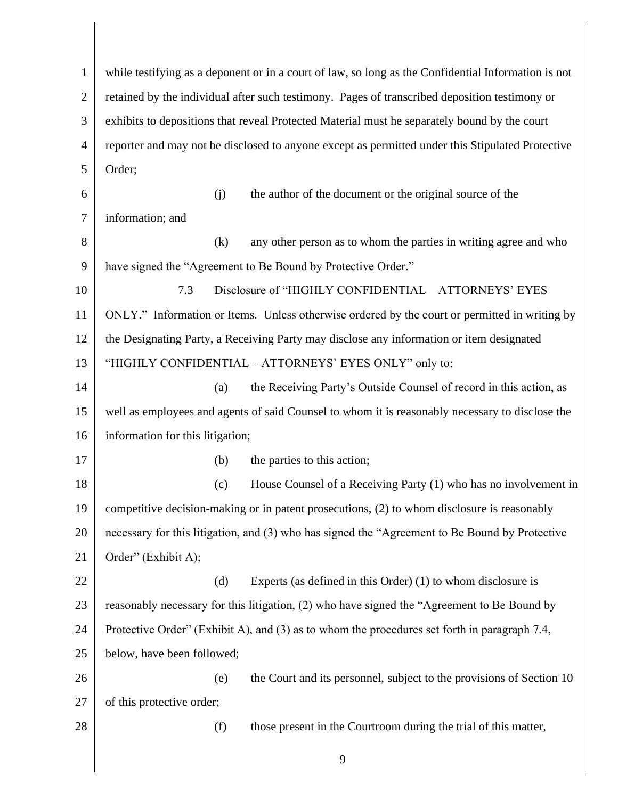| $\mathbf{1}$   | while testifying as a deponent or in a court of law, so long as the Confidential Information is not |  |
|----------------|-----------------------------------------------------------------------------------------------------|--|
| $\overline{2}$ | retained by the individual after such testimony. Pages of transcribed deposition testimony or       |  |
| 3              | exhibits to depositions that reveal Protected Material must he separately bound by the court        |  |
| $\overline{4}$ | reporter and may not be disclosed to anyone except as permitted under this Stipulated Protective    |  |
| 5              | Order;                                                                                              |  |
| 6              | the author of the document or the original source of the<br>(j)                                     |  |
| 7              | information; and                                                                                    |  |
| 8              | any other person as to whom the parties in writing agree and who<br>(k)                             |  |
| 9              | have signed the "Agreement to Be Bound by Protective Order."                                        |  |
| 10             | Disclosure of "HIGHLY CONFIDENTIAL - ATTORNEYS' EYES<br>7.3                                         |  |
| 11             | ONLY." Information or Items. Unless otherwise ordered by the court or permitted in writing by       |  |
| 12             | the Designating Party, a Receiving Party may disclose any information or item designated            |  |
| 13             | "HIGHLY CONFIDENTIAL - ATTORNEYS' EYES ONLY" only to:                                               |  |
| 14             | the Receiving Party's Outside Counsel of record in this action, as<br>(a)                           |  |
| 15             | well as employees and agents of said Counsel to whom it is reasonably necessary to disclose the     |  |
| 16             | information for this litigation;                                                                    |  |
| 17             | the parties to this action;<br>(b)                                                                  |  |
| 18             | (c)<br>House Counsel of a Receiving Party (1) who has no involvement in                             |  |
| 19             | competitive decision-making or in patent prosecutions, (2) to whom disclosure is reasonably         |  |
| 20             | necessary for this litigation, and (3) who has signed the "Agreement to Be Bound by Protective      |  |
| 21             | Order" (Exhibit A);                                                                                 |  |
| 22             | Experts (as defined in this Order) $(1)$ to whom disclosure is<br>(d)                               |  |
| 23             | reasonably necessary for this litigation, (2) who have signed the "Agreement to Be Bound by         |  |
| 24             | Protective Order" (Exhibit A), and (3) as to whom the procedures set forth in paragraph 7.4,        |  |
| 25             | below, have been followed;                                                                          |  |
| 26             | the Court and its personnel, subject to the provisions of Section 10<br>(e)                         |  |
| 27             | of this protective order;                                                                           |  |
| 28             | (f)<br>those present in the Courtroom during the trial of this matter,                              |  |
|                | 9                                                                                                   |  |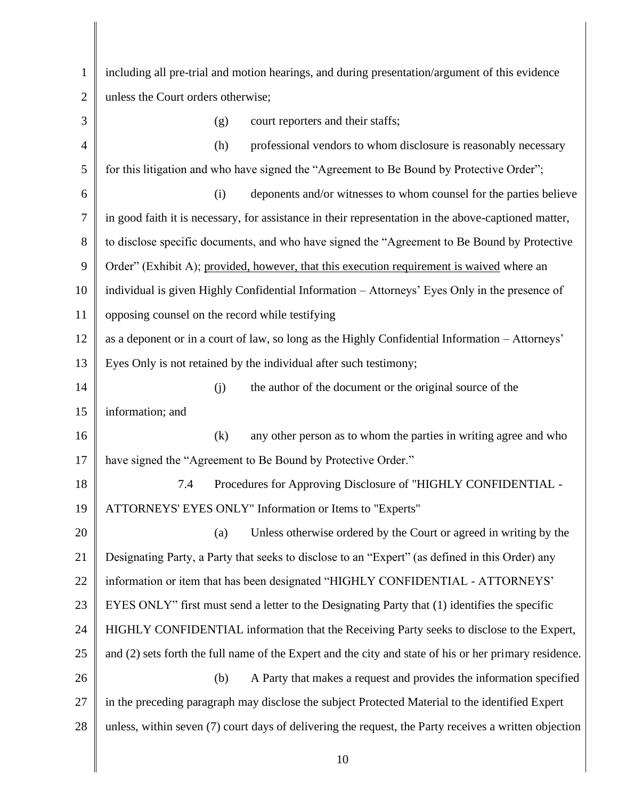| $\mathbf{1}$   | including all pre-trial and motion hearings, and during presentation/argument of this evidence         |  |  |
|----------------|--------------------------------------------------------------------------------------------------------|--|--|
| $\overline{2}$ | unless the Court orders otherwise;                                                                     |  |  |
| 3              | court reporters and their staffs;<br>(g)                                                               |  |  |
| $\overline{4}$ | (h)<br>professional vendors to whom disclosure is reasonably necessary                                 |  |  |
| 5              | for this litigation and who have signed the "Agreement to Be Bound by Protective Order";               |  |  |
| 6              | deponents and/or witnesses to whom counsel for the parties believe<br>(i)                              |  |  |
| 7              | in good faith it is necessary, for assistance in their representation in the above-captioned matter,   |  |  |
| 8              | to disclose specific documents, and who have signed the "Agreement to Be Bound by Protective           |  |  |
| 9              | Order" (Exhibit A); provided, however, that this execution requirement is waived where an              |  |  |
| 10             | individual is given Highly Confidential Information - Attorneys' Eyes Only in the presence of          |  |  |
| 11             | opposing counsel on the record while testifying                                                        |  |  |
| 12             | as a deponent or in a court of law, so long as the Highly Confidential Information - Attorneys'        |  |  |
| 13             | Eyes Only is not retained by the individual after such testimony;                                      |  |  |
| 14             | (i)<br>the author of the document or the original source of the                                        |  |  |
| 15             | information; and                                                                                       |  |  |
| 16             | (k)<br>any other person as to whom the parties in writing agree and who                                |  |  |
| 17             | have signed the "Agreement to Be Bound by Protective Order."                                           |  |  |
| 18             | 7.4<br>Procedures for Approving Disclosure of "HIGHLY CONFIDENTIAL -                                   |  |  |
| 19             | ATTORNEYS' EYES ONLY" Information or Items to "Experts"                                                |  |  |
| 20             | Unless otherwise ordered by the Court or agreed in writing by the<br>(a)                               |  |  |
| 21             | Designating Party, a Party that seeks to disclose to an "Expert" (as defined in this Order) any        |  |  |
| 22             | information or item that has been designated "HIGHLY CONFIDENTIAL - ATTORNEYS"                         |  |  |
| 23             | EYES ONLY" first must send a letter to the Designating Party that (1) identifies the specific          |  |  |
| 24             | HIGHLY CONFIDENTIAL information that the Receiving Party seeks to disclose to the Expert,              |  |  |
| 25             | and (2) sets forth the full name of the Expert and the city and state of his or her primary residence. |  |  |
| 26             | A Party that makes a request and provides the information specified<br>(b)                             |  |  |
| 27             | in the preceding paragraph may disclose the subject Protected Material to the identified Expert        |  |  |
| 28             | unless, within seven (7) court days of delivering the request, the Party receives a written objection  |  |  |
|                | 10                                                                                                     |  |  |
|                |                                                                                                        |  |  |

 $\begin{array}{c} \hline \end{array}$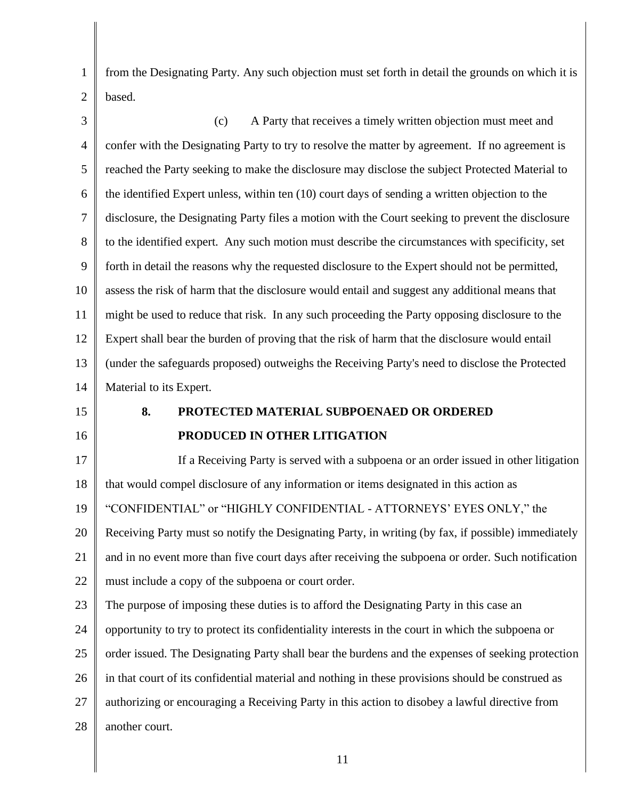1 2 from the Designating Party. Any such objection must set forth in detail the grounds on which it is based.

3 4 5 6 7 8 9 10 11 12 13 14 15 (c) A Party that receives a timely written objection must meet and confer with the Designating Party to try to resolve the matter by agreement. If no agreement is reached the Party seeking to make the disclosure may disclose the subject Protected Material to the identified Expert unless, within ten (10) court days of sending a written objection to the disclosure, the Designating Party files a motion with the Court seeking to prevent the disclosure to the identified expert. Any such motion must describe the circumstances with specificity, set forth in detail the reasons why the requested disclosure to the Expert should not be permitted, assess the risk of harm that the disclosure would entail and suggest any additional means that might be used to reduce that risk. In any such proceeding the Party opposing disclosure to the Expert shall bear the burden of proving that the risk of harm that the disclosure would entail (under the safeguards proposed) outweighs the Receiving Party's need to disclose the Protected Material to its Expert. **8. PROTECTED MATERIAL SUBPOENAED OR ORDERED** 

16

# **PRODUCED IN OTHER LITIGATION**

17 18 19 20 21 22 If a Receiving Party is served with a subpoena or an order issued in other litigation that would compel disclosure of any information or items designated in this action as "CONFIDENTIAL" or "HIGHLY CONFIDENTIAL - ATTORNEYS' EYES ONLY," the Receiving Party must so notify the Designating Party, in writing (by fax, if possible) immediately and in no event more than five court days after receiving the subpoena or order. Such notification must include a copy of the subpoena or court order.

23 24 25 26 27 28 The purpose of imposing these duties is to afford the Designating Party in this case an opportunity to try to protect its confidentiality interests in the court in which the subpoena or order issued. The Designating Party shall bear the burdens and the expenses of seeking protection in that court of its confidential material and nothing in these provisions should be construed as authorizing or encouraging a Receiving Party in this action to disobey a lawful directive from another court.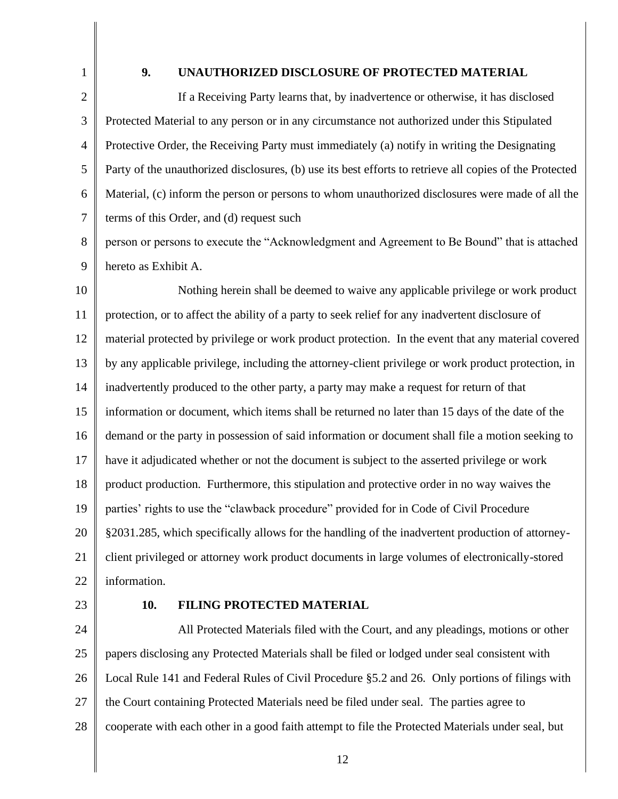### **9. UNAUTHORIZED DISCLOSURE OF PROTECTED MATERIAL**

2 3 4 5 6 7 If a Receiving Party learns that, by inadvertence or otherwise, it has disclosed Protected Material to any person or in any circumstance not authorized under this Stipulated Protective Order, the Receiving Party must immediately (a) notify in writing the Designating Party of the unauthorized disclosures, (b) use its best efforts to retrieve all copies of the Protected Material, (c) inform the person or persons to whom unauthorized disclosures were made of all the terms of this Order, and (d) request such

8 9 person or persons to execute the "Acknowledgment and Agreement to Be Bound" that is attached hereto as Exhibit A.

10 11 12 13 14 15 16 17 18 19 20 21 22 Nothing herein shall be deemed to waive any applicable privilege or work product protection, or to affect the ability of a party to seek relief for any inadvertent disclosure of material protected by privilege or work product protection. In the event that any material covered by any applicable privilege, including the attorney-client privilege or work product protection, in inadvertently produced to the other party, a party may make a request for return of that information or document, which items shall be returned no later than 15 days of the date of the demand or the party in possession of said information or document shall file a motion seeking to have it adjudicated whether or not the document is subject to the asserted privilege or work product production. Furthermore, this stipulation and protective order in no way waives the parties' rights to use the "clawback procedure" provided for in Code of Civil Procedure §2031.285, which specifically allows for the handling of the inadvertent production of attorneyclient privileged or attorney work product documents in large volumes of electronically-stored information.

23

## **10. FILING PROTECTED MATERIAL**

24 25 26 27 28 All Protected Materials filed with the Court, and any pleadings, motions or other papers disclosing any Protected Materials shall be filed or lodged under seal consistent with Local Rule 141 and Federal Rules of Civil Procedure §5.2 and 26. Only portions of filings with the Court containing Protected Materials need be filed under seal. The parties agree to cooperate with each other in a good faith attempt to file the Protected Materials under seal, but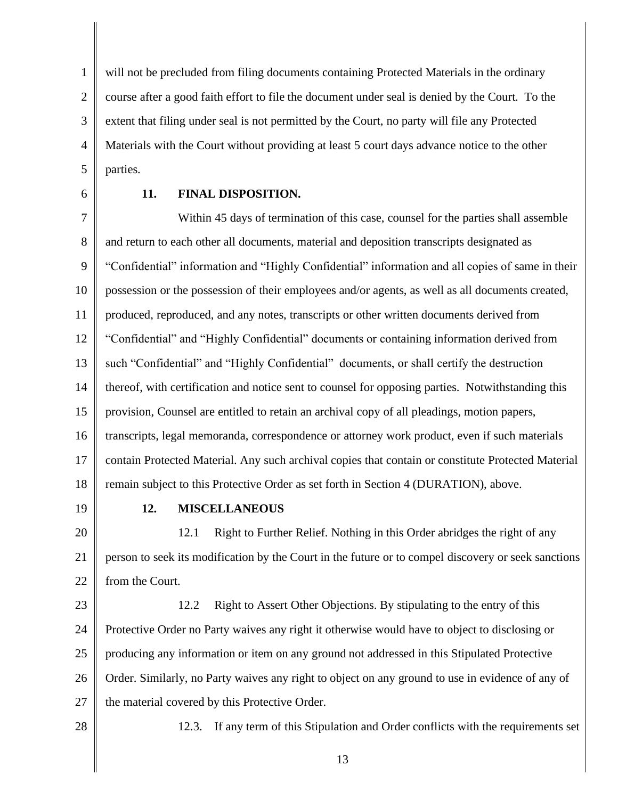1 2 3 4 5 will not be precluded from filing documents containing Protected Materials in the ordinary course after a good faith effort to file the document under seal is denied by the Court. To the extent that filing under seal is not permitted by the Court, no party will file any Protected Materials with the Court without providing at least 5 court days advance notice to the other parties.

6

## **11. FINAL DISPOSITION.**

7 8 9 10 11 12 13 14 15 16 17 18 Within 45 days of termination of this case, counsel for the parties shall assemble and return to each other all documents, material and deposition transcripts designated as "Confidential" information and "Highly Confidential" information and all copies of same in their possession or the possession of their employees and/or agents, as well as all documents created, produced, reproduced, and any notes, transcripts or other written documents derived from "Confidential" and "Highly Confidential" documents or containing information derived from such "Confidential" and "Highly Confidential" documents, or shall certify the destruction thereof, with certification and notice sent to counsel for opposing parties. Notwithstanding this provision, Counsel are entitled to retain an archival copy of all pleadings, motion papers, transcripts, legal memoranda, correspondence or attorney work product, even if such materials contain Protected Material. Any such archival copies that contain or constitute Protected Material remain subject to this Protective Order as set forth in Section 4 (DURATION), above.

19

#### **12. MISCELLANEOUS**

20 21 22 12.1 Right to Further Relief. Nothing in this Order abridges the right of any person to seek its modification by the Court in the future or to compel discovery or seek sanctions from the Court.

23 24 25 26 27 12.2 Right to Assert Other Objections. By stipulating to the entry of this Protective Order no Party waives any right it otherwise would have to object to disclosing or producing any information or item on any ground not addressed in this Stipulated Protective Order. Similarly, no Party waives any right to object on any ground to use in evidence of any of the material covered by this Protective Order.

28

12.3. If any term of this Stipulation and Order conflicts with the requirements set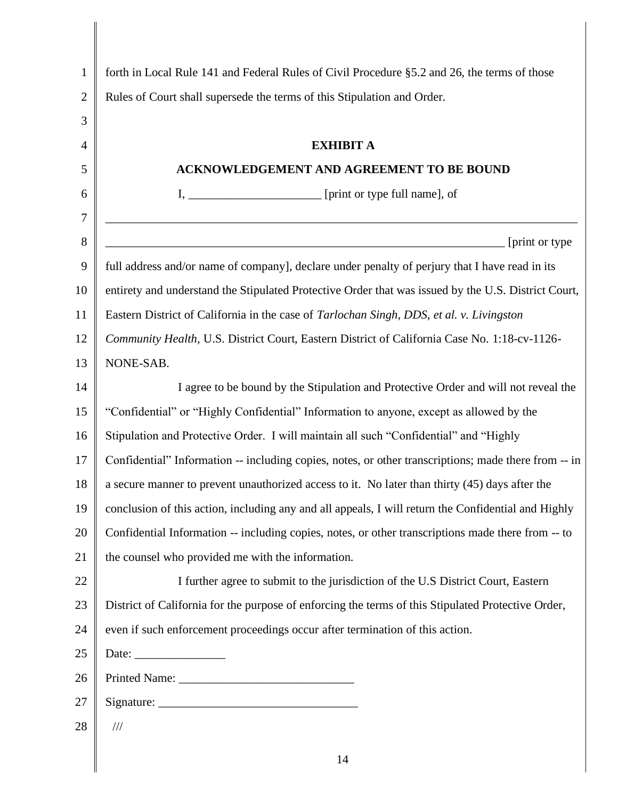| $\mathbf{1}$   | forth in Local Rule 141 and Federal Rules of Civil Procedure §5.2 and 26, the terms of those         |  |  |
|----------------|------------------------------------------------------------------------------------------------------|--|--|
| $\overline{2}$ | Rules of Court shall supersede the terms of this Stipulation and Order.                              |  |  |
| 3              |                                                                                                      |  |  |
| $\overline{4}$ | <b>EXHIBIT A</b>                                                                                     |  |  |
| 5              | <b>ACKNOWLEDGEMENT AND AGREEMENT TO BE BOUND</b>                                                     |  |  |
| 6              | I, _______________________ [print or type full name], of                                             |  |  |
| 7              |                                                                                                      |  |  |
| 8              | [print or type]                                                                                      |  |  |
| 9              | full address and/or name of company], declare under penalty of perjury that I have read in its       |  |  |
| 10             | entirety and understand the Stipulated Protective Order that was issued by the U.S. District Court,  |  |  |
| 11             | Eastern District of California in the case of Tarlochan Singh, DDS, et al. v. Livingston             |  |  |
| 12             | Community Health, U.S. District Court, Eastern District of California Case No. 1:18-cv-1126-         |  |  |
| 13             | NONE-SAB.                                                                                            |  |  |
| 14             | I agree to be bound by the Stipulation and Protective Order and will not reveal the                  |  |  |
| 15             | "Confidential" or "Highly Confidential" Information to anyone, except as allowed by the              |  |  |
| 16             | Stipulation and Protective Order. I will maintain all such "Confidential" and "Highly                |  |  |
| 17             | Confidential" Information -- including copies, notes, or other transcriptions; made there from -- in |  |  |
| 18             | a secure manner to prevent unauthorized access to it. No later than thirty (45) days after the       |  |  |
| 19             | conclusion of this action, including any and all appeals, I will return the Confidential and Highly  |  |  |
| 20             | Confidential Information -- including copies, notes, or other transcriptions made there from -- to   |  |  |
| 21             | the counsel who provided me with the information.                                                    |  |  |
| 22             | I further agree to submit to the jurisdiction of the U.S District Court, Eastern                     |  |  |
| 23             | District of California for the purpose of enforcing the terms of this Stipulated Protective Order,   |  |  |
| 24             | even if such enforcement proceedings occur after termination of this action.                         |  |  |
| 25             | Date:                                                                                                |  |  |
| 26             |                                                                                                      |  |  |
| 27             |                                                                                                      |  |  |
| 28             | $/ \! / \! /$                                                                                        |  |  |
|                | 14                                                                                                   |  |  |
|                |                                                                                                      |  |  |